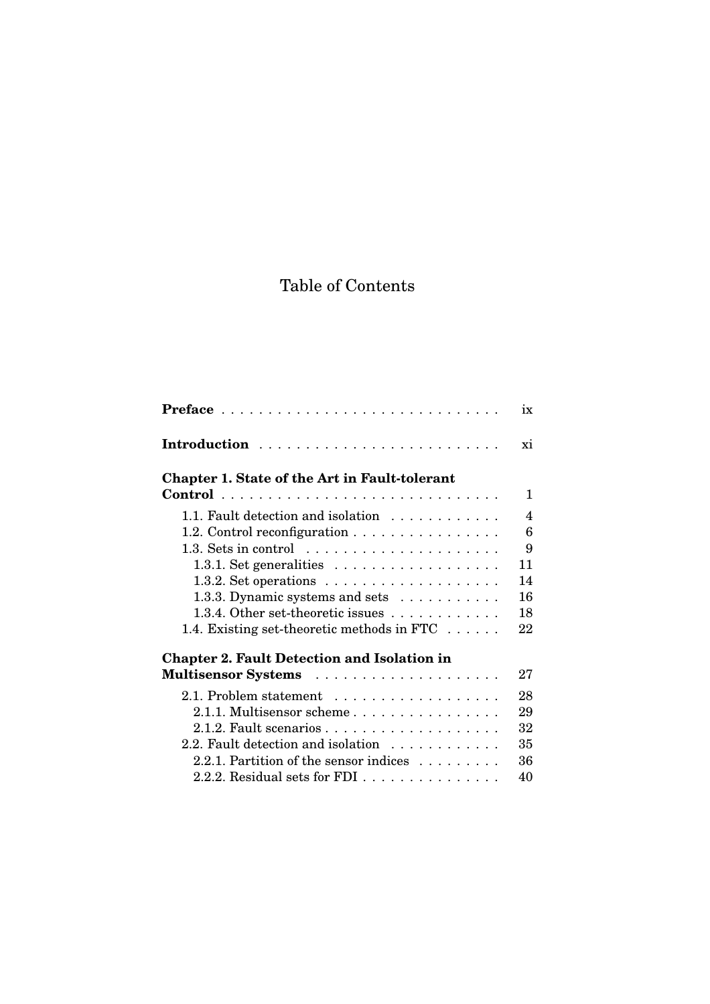## Table of Contents

|                                                                   | ix |
|-------------------------------------------------------------------|----|
|                                                                   | xi |
| Chapter 1. State of the Art in Fault-tolerant                     |    |
|                                                                   | 1  |
| 1.1. Fault detection and isolation                                | 4  |
| 1.2. Control reconfiguration                                      | 6  |
| 1.3. Sets in control $\ldots \ldots \ldots \ldots \ldots \ldots$  | 9  |
| 1.3.1. Set generalities $\ldots \ldots \ldots \ldots \ldots$      | 11 |
| 1.3.2. Set operations $\ldots \ldots \ldots \ldots \ldots \ldots$ | 14 |
| 1.3.3. Dynamic systems and sets $\dots \dots \dots$               | 16 |
| 1.3.4. Other set-theoretic issues $\ldots \ldots \ldots$          | 18 |
| 1.4. Existing set-theoretic methods in FTC $\dots$ .              | 22 |
| <b>Chapter 2. Fault Detection and Isolation in</b>                |    |
| Multisensor Systems                                               | 27 |
| 2.1. Problem statement                                            | 28 |
| 2.1.1. Multisensor scheme                                         | 29 |
|                                                                   | 32 |
| 2.2. Fault detection and isolation                                | 35 |
| 2.2.1. Partition of the sensor indices                            | 36 |
| 2.2.2. Residual sets for FDI $\ldots$                             | 40 |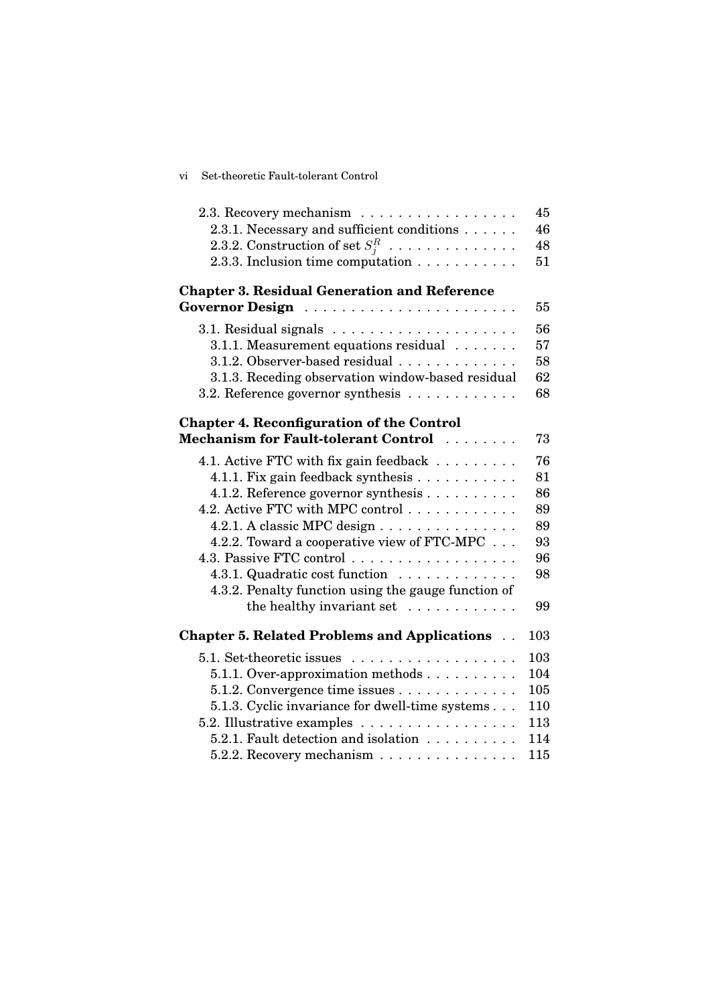| vi Set-theoretic Fault-tolerant Control |
|-----------------------------------------|
|                                         |

| 2.3. Recovery mechanism                              | 45  |
|------------------------------------------------------|-----|
| 2.3.1. Necessary and sufficient conditions           | 46  |
| 2.3.2. Construction of set $S_j^R$                   | 48  |
| 2.3.3. Inclusion time computation                    | 51  |
|                                                      |     |
| <b>Chapter 3. Residual Generation and Reference</b>  |     |
|                                                      | 55  |
|                                                      | 56  |
| 3.1.1. Measurement equations residual                | 57  |
| 3.1.2. Observer-based residual                       | 58  |
| 3.1.3. Receding observation window-based residual    | 62  |
| 3.2. Reference governor synthesis                    | 68  |
|                                                      |     |
| <b>Chapter 4. Reconfiguration of the Control</b>     |     |
| Mechanism for Fault-tolerant Control                 | 73  |
| 4.1. Active FTC with fix gain feedback               | 76  |
| 4.1.1. Fix gain feedback synthesis                   | 81  |
| 4.1.2. Reference governor synthesis                  | 86  |
| 4.2. Active FTC with MPC control                     | 89  |
| 4.2.1. A classic MPC design                          | 89  |
| 4.2.2. Toward a cooperative view of FTC-MPC          | 93  |
| 4.3. Passive FTC control                             | 96  |
| 4.3.1. Quadratic cost function                       | 98  |
| 4.3.2. Penalty function using the gauge function of  |     |
| the healthy invariant set                            | 99  |
|                                                      |     |
| <b>Chapter 5. Related Problems and Applications </b> | 103 |
| 5.1. Set-theoretic issues                            | 103 |
| 5.1.1. Over-approximation methods                    | 104 |
| 5.1.2. Convergence time issues                       | 105 |
| 5.1.3. Cyclic invariance for dwell-time systems      | 110 |
| 5.2. Illustrative examples                           | 113 |
| 5.2.1. Fault detection and isolation                 | 114 |
| 5.2.2. Recovery mechanism                            | 115 |